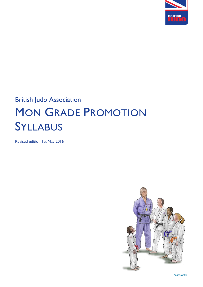

# British Judo Association MON GRADE PROMOTION SYLLABUS

Revised edition 1st May 2016

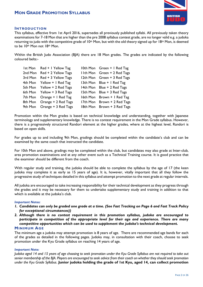

#### **INTRODUCTION**

This syllabus, effective from 1st April 2016, supersedes all previously published syllabi. All previously taken theory examinations for 7-18 Mon that are higher than the pre 2008 syllabus contest grade, are no longer valid e.g. a judoka returning to judo with the competitive grade of  $10<sup>th</sup>$  Mon, but with the old theory signed up for 18<sup>th</sup> Mon, is deemed to be 10th Mon not 18th Mon.

Within the British Judo Association (BJA) there are 18 Mon grades. The grades are indicated by the following coloured belts:-

|                                                                                                                                                                                                                                                                                  | 10th Mon Green + 1 Red Tag    |
|----------------------------------------------------------------------------------------------------------------------------------------------------------------------------------------------------------------------------------------------------------------------------------|-------------------------------|
|                                                                                                                                                                                                                                                                                  | I I th Mon Green + 2 Red Tags |
|                                                                                                                                                                                                                                                                                  | 12th Mon Green + 3 Red Tags   |
|                                                                                                                                                                                                                                                                                  | 13th Mon Blue + 1 Red Tag     |
|                                                                                                                                                                                                                                                                                  | 14th Mon Blue + 2 Red Tags    |
|                                                                                                                                                                                                                                                                                  | 15th Mon Blue + 3 Red Tags    |
| 16th Mon                                                                                                                                                                                                                                                                         | Brown + 1 Red Tag             |
|                                                                                                                                                                                                                                                                                  | Brown + 2 Red Tags            |
| 18th Mon                                                                                                                                                                                                                                                                         | Brown + 3 Red Tags            |
| 1st Mon Red + 1 Yellow Tag<br>2nd Mon Red + 2 Yellow Tags<br>3rd Mon Red + 3 Yellow Tags<br>4th Mon Yellow + I Red Tag<br>5th Mon Yellow + 2 Red Tags<br>6th Mon Yellow + 3 Red Tags<br>7th Mon Orange + 1 Red Tag<br>8th Mon Orange + 2 Red Tags<br>9th Mon Orange + 3 Red Tags | 17th Mon                      |

Promotion within the Mon grades is based on technical knowledge and understanding, together with Japanese terminology and supplementary knowledge. There is no contest requirement in the Mon Grade syllabus. However, there is a progressively structured Randori element at the higher grades, where at the highest level, Randori is based on open skills.

For grades up to and including 9th Mon, gradings should be completed within the candidate's club and can be examined by the same coach that instructed the candidate.

For 10th Mon and above, gradings may be completed within the club, but candidates may also grade at Inter-club, area promotion examinations and at any other event such as a Technical Training course. It is good practice that the examiner should be different from the coach.

With regular study and training, the judoka should be able to complete the syllabus by the age of 17 (the keen judoka may complete it as early as 15 years of age). It is, however, vitally important that all they follow the progressive study of techniques detailed in this syllabus and attempt promotion to the next grade at regular intervals.

All judoka are encouraged to take increasing responsibility for their technical development as they progress through the grades and it may be necessary for them to undertake supplementary study and training in addition to that which is available at the judoka's club.

#### *Important Notes:*

- *1. Candidates can only be graded one grade at a time. (See Fast Tracking on Page 6 and Fast Track Policy for exceptional circumstances))*
- *2. Although there is no contest requirement in this promotion syllabus, judoka are encouraged to participate in competition of the appropriate level for their age and experience. There are many competitive opportunities which can be used to supplement the judoka's technical development.*  **MINIMUM AGE**

The minimum age a judoka may attempt promotion is 8 years of age. There are recommended age bands for each of the grades as detailed in the following pages. Judoka may, in consultation with their coach, choose to seek promotion under the Kyu Grade syllabus on reaching 14 years of age.

#### *Important Note:*

*Judoka aged 14 and 15 years of age choosing to seek promotion under the Kyu Grade Syllabus are not required to take out senior membership of the BJA. Players are encouraged to seek advice from their coach on whether they should seek promotion under the Kyu Grade Syllabus*. **Junior judoka holding the grade of 1st Kyu, aged 14, can collect promotion**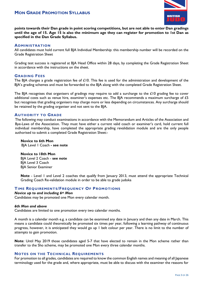

**points towards their Dan grade in point scoring competitions, but are not able to enter Dan gradings until the age of 15. Age 15 is also the minimum age they can register for promotion to 1st Dan as specified in the Dan Grade Syllabus.**

#### **ADMINISTRATION**

All candidates must hold current full BJA Individual Membership: this membership number will be recorded on the Grade Registration Sheet

Grading test success is registered at BJA Head Office within 28 days, by completing the Grade Registration Sheet in accordance with the instructions on the sheet.

#### **GRADING FEES**

The BJA charges a grade registration fee of  $£10$ . This fee is used for the administration and development of the BJA's grading schemes and must be forwarded to the BJA along with the completed Grade Registration Sheet.

The BJA recognises that organisers of gradings may require to add a surcharge to the £10 grading fee to cover additional costs such as venue hire, examiner's expenses etc. The BJA recommends a maximum surcharge of £5 but recognises that grading organisers may charge more or less depending on circumstances. Any surcharge should be retained by the grading organiser and not sent to the BJA.

#### **AUTHORITY TO GRADE**

The following may conduct examinations in accordance with the Memorandum and Articles of the Association and Bye-Laws of the Association. They must have either a current valid coach or examiner's card, hold current full individual membership, have completed the appropriate grading revalidation module and are the only people authorised to submit a completed Grade Registration Sheet:-

 **Novice to 6th Mon** BJA Level 1 Coach **- see note**

#### **Novice to 18th Mon**

BJA Level 2 Coach - **see note** BJA Level 3 Coach BJA Senior Examiner

**Note** - Level 1 and Level 2 coaches that qualify from January 2013, must attend the appropriate Technical Grading Coach Re-validation module in order to be able to grade judoka

#### **TIME REQUIREMENTS/FREQUENCY OF PROMOTIONS**

#### *Novice up to and including 6th Mon*

Candidates may be promoted one Mon every calendar month.

#### *6th Mon and above*

Candidates are limited to one promotion every two calendar months.

A month is a calendar month e.g. a candidate can be examined any date in January and then any date in March. This means a candidate could theoretically be promoted six times per year, following a learning pathway of continuous progress, however, it is anticipated they would go up 1 belt colour per year. There is no limit to the number of attempts to gain promotion.

**Note**: Until May 2019 those candidates aged 5-7 that have elected to remain in the Mon scheme rather than transfer to the Sho scheme, may be promoted one Mon every three calendar months.

#### **NOTES ON THE TECHNICAL REQUIREMENTS**

For promotion to all grades, candidates are required to know the common English names and meaning of all Japanese terminology used for the grade and, where appropriate, must be able to discuss with the examiner the reasons for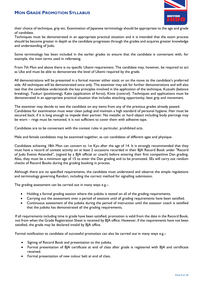

their choice of technique, grip etc. Examination of lapanese terminology should be appropriate to the age and grade of candidate.

Techniques must be demonstrated in an appropriate practical situation and it is intended that the exam process should be become greater in depth as the candidate progresses through the grades and acquires greater knowledge and understanding of Judo.

Some terminology has been included in the earlier grades to ensure that the candidate is conversant with, for example, the main terms used in refereeing.

From 7th Mon and above there is no specific Ukemi requirement. The candidate may, however, be required to act as Uke and must be able to demonstrate the level of Ukemi required by the grade.

All demonstrations will be presented in a formal manner either static or on the move to the candidate's preferred side. All techniques will be demonstrated once only. The examiner may ask for further demonstrations and will also test that the candidate understands the key principles involved in the application of the technique, Kuzushi (balance breaking), Tsukuri (positioning), Kake (application of force), Kime (control). Techniques and applications must be demonstrated in an appropriate practical situation that includes attacking opportunity, best grip and movement.

The examiner may decide to test the candidate on any items from any of the previous grades already passed. Candidates for examination must wear clean judogi and maintain a high standard of personal hygiene. Hair must be secured back, if it is long enough to impede their partner. No metallic or hard object including body piercings may be worn – rings must be removed, it is not sufficient to cover them with adhesive tape.

Candidates are to be conversant with the contest rules in particular, prohibited acts.

Male and female candidates may be examined together, as can candidates of different ages and physique.

Candidates achieving 18th Mon can convert to 1st Kyu after the age of 14. It is strongly recommended that they must have a record of contest activity on at least 2 occasions recorded in their BJA Record Book under "Record of Judo Events Attended", (signed by a BJA official or coach) before entering their first competitive Dan grading. Also, they must be a minimum age of 15 to enter the Dan grading and to be promoted. SEs will carry out random checks of Record Books during the grading booking in process.

Although there are no specified requirements, the candidate must understand and observe the simple regulations and terminology governing Randori, including the correct method for signalling submission.

The grading assessment can be carried out in many ways e.g.:-

- Holding a formal grading session where the judoka is tested on all of the grading requirements.
- Carrying out the assessment over a period of sessions until all grading requirements have been satisfied.
- Continuous assessment of the judoka during the period of instruction until the assessor coach is satisfied that the judoka has demonstrated all the grading requirements.

If all requirements including time in grade have been satisfied, promotion is valid from the date in the Record Book, not from when the Grade Registration Sheet is received by BJA office. However, if the requirements have not been satisfied, the grade may be declared invalid by BJA office.

Formal notification to candidate of successful promotion can also be carried out in many ways e.g.:-

- Signing of Record Book and presentation to the judoka.
- Formal presentation of BJA certificate at end of class after grade is registered with BJA and certificate received.
- Formal presentation of new colour belt at end of class.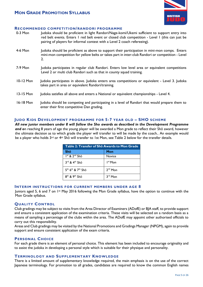

#### **RECOMMENDED COMPETITION/RANDORI PROGRAMME**

enter their first competitive Dan grading.

| $0-3$ Mon | Judoka should be proficient in light Randori/Nage-komi/Ukemi sufficient to support entry into<br>red belt events. Enters I red belt event or closed club competition - Level I (this can just be<br>pairing of players for informal contest with a Level 2 coach refereeing). |
|-----------|-------------------------------------------------------------------------------------------------------------------------------------------------------------------------------------------------------------------------------------------------------------------------------|
| 4-6 Mon   | Judoka should be proficient as above to support their participation in mini-mon comps. Enters<br>mini-mon competition for yellow belts or takes part in inter-club Randori or competition - Level<br>2.                                                                       |
| 7-9 Mon   | Judoka participates in regular club Randori. Enters low level area or equivalent competitions<br>Level 2 or multi club Randori such as that in county squad training.                                                                                                         |
| 10-12 Mon | Judoka participates in above. Judoka enters area competitions or equivalent - Level 3. Judoka<br>takes part in area or equivalent Randori/training.                                                                                                                           |
| 13-15 Mon | Judoka satisfies all above and enters a National or equivalent championships - Level 4.                                                                                                                                                                                       |
| 16-18 Mon | Judoka should be competing and participating in a level of Randori that would prepare them to                                                                                                                                                                                 |

#### **JUDO KIDS DEVELOPMENT PROGRAMME FOR 5-7 YEAR OLD – SHO SCHEME**

*All new junior members under 8 will follow the Sho awards as described in the Development Programme and o*n reaching 8 years of age the young player will be awarded a Mon grade to reflect their Shō award, however the ultimate decision as to which grade the player will transfer to will be made by the coach.. An example would be a player who holds 3rd or 4th Shō will transfer to 1st Mon, see Table 2 below for the transfer details.

| Table 2: Transfer of Shō Awards to Mon Grade   |               |  |
|------------------------------------------------|---------------|--|
| <b>Shō</b>                                     | Mon           |  |
| $Ist$ & $2nd$ Shō                              | <b>Novice</b> |  |
| $3^{\text{rd}}$ & $4^{\text{th}}$ Sho          | $Ist$ Mon     |  |
| $5^{th}$ 6 <sup>th</sup> & 7 <sup>th</sup> Shō | $2nd$ Mon     |  |
| $8th$ & $9th$ Sho                              | $3rd$ Mon     |  |

#### **INTERIM INSTRUCTIONS FOR CURRENT MEMBERS UNDER AGE 8**

Juniors aged 5, 6 and 7 on 1st May 2016 following the Mon Grade syllabus, have the option to continue with the Mon Grade syllabus.

#### **QUALITY CONTROL**

Club gradings may be subject to visits from the Area Director of Examiners (ADofE) or BJA staff, to provide support and ensure a consistent application of the examination criteria. These visits will be selected on a random basis as a means of sampling a percentage of the clubs within the area. The ADofE may appoint other authorised officials to carry out this responsibility.

Areas and Club gradings may be visited by the National Promotions and Gradings Manager (NPGM), again to provide support and ensure consistent application of the exam criteria.

#### **PERSONAL CHOICE**

For each grade there is an element of personal choice. This element has been included to encourage originality and to assist the judoka in developing a personal style which is suitable for their physique and personality.

#### **TERMINOLOGY AND SUPPLEMENTARY KNOWLEDGE**

There is a limited amount of supplementary knowledge required, the main emphasis is on the use of the correct Japanese terminology. For promotion to all grades, candidates are required to know the common English names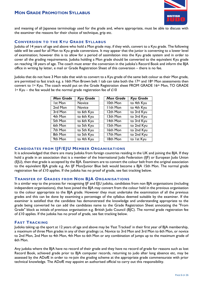

and meaning of all Japanese terminology used for the grade and, where appropriate, must be able to discuss with the examiner the reasons for their choice of technique, grip etc.

#### **CONVERSION TO THE KYU GRADE SYLLABUS**

Judoka of 14 years of age and above who hold a Mon grade may, if they wish, convert to a Kyu grade. The following table will be used for all Mon to Kyu grade conversions. It may appear that the junior is converting to a lower level of examination; however this is to allow for a period of assimilation into the Kyu grade system and in order to cover all the grading requirements. Judoka holding a Mon grade should be converted to the equivalent Kyu grade on reaching 18 years of age. The coach must enter the conversion in the judoka's Record Book and inform the BJA office in writing by letter, e mail or Grade Registration Sheet of this conversion – there is no fee.

Judoka that do not have 3 Mon tabs that wish to convert to a Kyu grade of the same belt colour as their Mon grade, are permitted to fast track e.g. a 16th Mon Brown belt 1 tab can take both the 17<sup>th</sup> and 18<sup>th</sup> Mon assessments then convert to 1st Kyu. The coach would put on the Grade Registration sheet FROM GRADE 16th Mon, TO GRADE 1st Kyu – the fee would be the normal grade registration fee of  $£10$ 

| <b>Mon Grade</b> | <b>Kyu Grade</b> | <b>Mon Grade</b> | <b>Kyu Grade</b> |
|------------------|------------------|------------------|------------------|
| Ist Mon          | Novice           | 10th Mon         | to 4th Kyu       |
| 2nd Mon          | Novice           | <b>IIth Mon</b>  | to 4th Kyu       |
| 3rd Mon          | to 6th Kyu       | 12th Mon         | to 3rd Kyu       |
| 4th Mon          | to 6th Kyu       | 13th Mon         | to 3rd Kyu       |
| 5th Mon          | to 6th Kyu       | 14th Mon         | to 3rd Kyu       |
| 6th Mon          | to 5th Kyu       | 15th Mon         | to 2nd Kyu       |
| 7th Mon          | to 5th Kyu       | 16th Mon         | to 2nd Kyu       |
| 8th Mon          | to 5th Kyu       | 17th Mon         | to 2nd Kyu       |
| 9th Mon          | to 4th Kyu       | 18th Mon         | to 1st Kyu       |

#### **CANDIDATES FROM IJF/EJU MEMBER ORGANISATIONS**

It is acknowledged that there are many Judoka from foreign countries residing in the UK and joining the BJA. If they hold a grade in an association that is a member of the International Judo Federation (IJF) or European Judo Union (EJU), then that grade is accepted by the BJA. Examiners are to convert the colour belt from the original association to the equivalent BJA grade e.g. An IJF Mon/Junior Blue belt would become a BJA 15th Mon. The normal grade registration fee of £10 applies. If the judoka has no proof of grade, see fast tracking below.

#### **TRANSFER OF GRADES FROM NON BJA ORGANISATIONS**

In a similar way to the process for recognising IJF and EJU judoka, candidates from non BJA organisations (including independent organisations), that have joined the BJA may convert from the colour held in the previous organisation to the colour appropriate to the BJA grade. However they must undertake the examination of all the previous grades and this can be done by examining a percentage of the syllabus deemed suitable by the examiner. If the examiner is satisfied that the candidate has demonstrated the knowledge and understanding appropriate to the grade being converted he can add the candidates name to the Grade Registration Sheet annotating the "From Grade" block as initials of previous organisation e.g. British Judo Council (BJC). The normal grade registration fee of £10 applies. If the judoka has no proof of grade, see fast tracking below.

#### **FAST TRACKING**

Judoka taking up the sport at 12 years of age and above may be 'Fast Tracked' in their first year of BJA membership, a maximum of three Mon grades in any of their gradings i.e. Novice to 3rd Mon and 3rd Mon to 6th Mon, or novice to 2nd Mon, 2nd Mon to 4th Mon, 4th Mon to 6th Mon or any combination of jumps up to the maximum grade of 6th Mon.

Any judoka where the BJA have no record of their grade and they have no record of grade for reasons such as lost Record Book, achieved grade prior to BJA computer records, returning to judo after long absence etc, may be assessed by the ADofE in order to re-join the grading scheme at the appropriate grade commensurate with prior technical knowledge. The ADofE may appoint an authorised official to carry out this responsibility.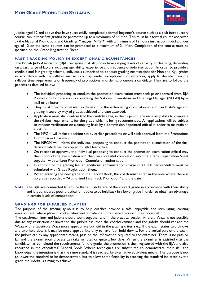

Judoka aged 12 and above that have successfully completed a formal beginner's course such as a club introductory course, can in their first grading be promoted up to a maximum of  $6<sup>th</sup>$  Mon. This must be a formal course approved by the National Promotions and Gradings Manager (NPGM) with a minimum of 12 hours instruction. Judoka under age of 12 on the same courses can be promoted to a maximum of  $3<sup>rd</sup>$  Mon. Completion of the course must be specified on the Grade Registration Sheet.

#### **FAST TRACKING POLICY IN EXCEPTIONAL CIRCUMSTANCES**

The British Judo Association (BJA) recognise that all judoka have varying levels of capacity for learning, depending on a vast range of factors including age, ability, experience and frequency of judo instruction. In order to provide a credible and fair grading scheme, individuals authorised to conduct grading examinations for Mon and Kyu grades in accordance with the syllabus instructions may, under exceptional circumstances, apply to deviate from the syllabus time requirements or frequency of promotions in order to promote a candidate. They are to follow the process as detailed below:

- The individual proposing to conduct the promotion examination must seek prior approval from B|A Promotions Commission by contacting the National Promotions and Gradings Manager (NPGM) by email or by letter.
- They must provide a detailed explanation of the extenuating circumstances and candidate's age and grading history by way of grades achieved and date awarded.
- Application must also confirm that the candidate has, in their opinion, the necessary skills to complete the syllabus requirements for the grade which is being recommended. All applications will be subject to random verification on a sampling basis by a commission appointed official in order to maintain an audit trail.
- The NPGM will make a decision set by earlier precedents or will seek approval from the Promotions Commission Chairman.
- The NPGM will inform the individual proposing to conduct the promotion examination of the final decision which will be copied to BJA Head office.
- On receipt of approval, the individual proposing to conduct the promotion examination official may then conduct the examination and then on successful completion submit a Grade Registration Sheet together with written Promotion Commission authorisation.
- In addition to the grading fee, an additional administration charge of  $\pounds10.00$  per candidate must be submitted with Grade Registration Sheet.
- When entering the new grade in the Record Book, the coach must enter in the area where there is no grade recorded – "Authorised Fast Track Promotion" and the date
- **Note:** The BJA are committed to ensure that all judoka are of the correct grade in accordance with their ability and it is considered poor practice for judoka to be held back in a lower grade in order to obtain an advantage in certain levels of competition.

#### **GRADINGS FOR DISABLED PLAYERS**

The purpose of the grading syllabus is to help coaches provide a safe, enjoyable and stimulating learning environment, where players of all abilities feel confident and motivated to reach their potential.

The coach/examiner and judoka should work together and in the practical section where a Waza is not possible due to any restriction or limitation the judoka has, then the coach/examiner and the judoka should replace the Waza with a substitute Waza more appropriate but within the grading criteria e.g. If the exam states two throws and two hold-downs it may be more appropriate only to have four hold-downs. For the verbal part of the exam, the judoka can by any appropriate means, pass on the information required to the examiner. There is no pass or fail and the examination process can take minutes or quite a few days. When the examiner is satisfied that the candidate has completed the requirements for the grade, the promotion is then registered with the BJA and also recorded in the candidates' Record Book. Where techniques are substituted to demonstrate their skill and knowledge, the intention is that the same standard is reached, by alternative equivalent means. The purpose is not to lower the standard to be demonstrated, but to allow some flexibility in reaching the standard indicated by the grade the judoka is aiming to achieve.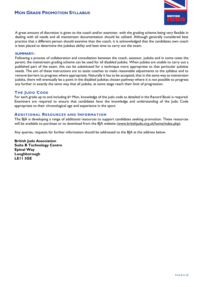

A great amount of discretion is given to the coach and/or examiner, with the grading scheme being very flexible in dealing with all needs and all mainstream documentation should be utilised. Although generally considered best practice that a different person should examine than the coach, it is acknowledged that the candidates own coach is best placed to determine the judokas ability and best time to carry out the exam.

#### **SUMMARY:-**

Following a process of collaboration and consultation between the coach, assessor, judoka and in some cases the parent, the mainstream grading scheme can be used for all disabled judoka. When judoka are unable to carry out a published part of the exam, this can be substituted for a technique more appropriate to that particular judokas needs. The aim of these instructions are to assist coaches to make reasonable adjustments to the syllabus and to remove barriers to progress where appropriate. Naturally it has to be accepted, that in the same way as mainstream judoka, there will eventually be a point in the disabled judokas chosen pathway where it is not possible to progress any further in exactly the same way that all judoka, at some stage reach their limit of progression.

#### **THE JUDO CODE**

For each grade up to and including  $6<sup>th</sup>$  Mon, knowledge of the judo code as detailed in the Record Book is required. Examiners are required to ensure that candidates have the knowledge and understanding of the Judo Code appropriate to their chronological age and experience in the sport.

#### **ADDITIONAL RESOURCES AND INFORMATION**

The BJA is developing a range of additional resources to support candidates seeking promotion. These resources will be available to purchase or to download from the BJA website [\(www.britishjudo.org.uk/home/index.php\)](http://www.britishjudo.org.uk/home/index.php).

Any queries, requests for further information should be addressed to the BJA at the address below.

**British Judo Association Suite B Technology Centre Epinal Way Loughborough LE11 3GE**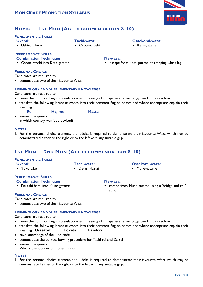

### **NOVICE – 1ST MON (AGE RECOMMENDATION 8-10)**

**Tachi-waza:** • Osoto-otoshi

#### **FUNDAMENTAL SKILLS**

- **Ukemi:**
- Ushiro Ukemi

#### **PERFORMANCE SKILLS**

#### **Combination Techniques:**

• Osoto-otoshi into Kesa-gatame

#### **PERSONAL CHOICE**

Candidates are required to:

demonstrate two of their favourite Waza

#### **TERMINOLOGY AND SUPPLEMENTARY KNOWLEDGE**

#### Candidates are required to:

- know the common English translations and meaning of all Japanese terminology used in this section
- translate the following Japanese words into their common English names and where appropriate explain their meaning:
	- **Rei Hajime Matte**

• answer the question In which country was judo devised?

#### **NOTES**

1. For the personal choice element, the judoka is required to demonstrate their favourite Waza which may be demonstrated either to the right or to the left with any suitable grip.

### **1ST MON — 2ND MON (AGE RECOMMENDATION 8-10)**

#### **FUNDAMENTAL SKILLS**

#### **Ukemi:**

• Yoko Ukemi

#### **Tachi-waza:**

• De-ashi-barai

### **PERFORMANCE SKILLS**

### **Combination Techniques:**

• De-ashi-barai into Mune-gatame

#### **Ne-waza:**

• escape from Mune-gatame using a 'bridge and roll' action

**Osaekomi-waza:** • Mune-gatame

#### **PERSONAL CHOICE**

Candidates are required to:

demonstrate two of their favourite Waza

#### **TERMINOLOGY AND SUPPLEMENTARY KNOWLEDGE**

Candidates are required to:

- know the common English translations and meaning of all Japanese terminology used in this section
- translate the following Japanese words into their common English names and where appropriate explain their meaning: **Osaekomi Toketa Randori**
- have knowledge of the judo code
- demonstrate the correct bowing procedure for Tachi-rei and Za-rei
- answer the question Who is the founder of modern judo?

#### **NOTES**

1. For the personal choice element, the judoka is required to demonstrate their favourite Waza which may be demonstrated either to the right or to the left with any suitable grip.

#### **Osaekomi-waza:**

• Kesa-gatame

- - **Ne-waza:**
	- escape from Kesa-gatame by trapping Uke's leg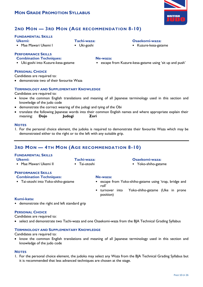

### **2ND MON — 3RD MON (AGE RECOMMENDATION 8-10)**

**Tachi-waza:** • Uki-goshi

#### **FUNDAMENTAL SKILLS**

- **Ukemi:**
- Mae Mawari Ukemi I

#### **PERFORMANCE SKILLS**

- **Combination Techniques:**
- Uki-goshi into Kuzure-kesa-gatame

#### **PERSONAL CHOICE**

Candidates are required to:

demonstrate two of their favourite Waza

#### **TERMINOLOGY AND SUPPLEMENTARY KNOWLEDGE**

Candidates are required to:

- know the common English translations and meaning of all Japanese terminology used in this section and knowledge of the judo code
- demonstrate the correct wearing of the judogi and tying of the Obi
- translate the following Japanese words into their common English names and where appropriate explain their meaning: **Dojo Judogi Zori**

#### **NOTES**

1. For the personal choice element, the judoka is required to demonstrate their favourite Waza which may be demonstrated either to the right or to the left with any suitable grip.

### **3RD MON — 4TH MON (AGE RECOMMENDATION 8-10)**

#### **FUNDAMENTAL SKILLS**

#### **Ukemi:**

• Mae Mawari Ukemi II

#### **Tachi-waza:**

• Tai-otoshi

#### **Osaekomi-waza:**

• Yoko-shiho-gatame

### **PERFORMANCE SKILLS**

- **Combination Techniques:**
- Tai-otoshi into Yoko-shiho-gatame

#### **Ne-waza:**

- escape from Yoko-shiho-gatame using 'trap, bridge and roll'
- turnover into Yoko-shiho-gatame (Uke in prone position)

#### **Kumi-kata:**

• demonstrate the right and left standard grip

#### **PERSONAL CHOICE**

Candidates are required to:

select and demonstrate two Tachi-waza and one Osaekomi-waza from the BJA Technical Grading Syllabus

#### **TERMINOLOGY AND SUPPLEMENTARY KNOWLEDGE**

Candidates are required to:

• know the common English translations and meaning of all Japanese terminology used in this section and knowledge of the judo code

#### **NOTES**

1. For the personal choice element, the judoka may select any Waza from the BJA Technical Grading Syllabus but it is recommended that less advanced techniques are chosen at the stage.

#### **Osaekomi-waza:**

• escape from Kuzure-kesa-gatame using 'sit up and push'

• Kuzure-kesa-gatame

- 
- **Ne-waza:**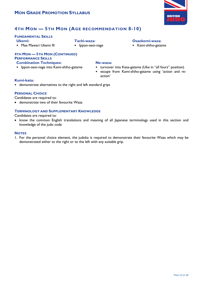

### **4TH MON — 5TH MON (AGE RECOMMENDATION 8-10)**

#### **FUNDAMENTAL SKILLS**

**Ukemi:**

• Mae Mawari Ukemi III

- **Tachi-waza:**
- Ippon-seoi-nage

#### **Osaekomi-waza:**

• Kami-shiho-gatame

#### **4TH MON — 5TH MON (CONTINUED) PERFORMANCE SKILLS Combination Techniques:**

• Ippon-seoi-nage into Kami-shiho-gatame

#### **Ne-waza:**

- turnover into Kesa-gatame (Uke in "all fours" position)
- escape from Kami-shiho-gatame using 'action and reaction'

#### **Kumi-kata:**

• demonstrate alternatives to the right and left standard grips

#### **PERSONAL CHOICE**

Candidates are required to:

demonstrate two of their favourite Waza

#### **TERMINOLOGY AND SUPPLEMENTARY KNOWLEDGE**

Candidates are required to:

• know the common English translations and meaning of all Japanese terminology used in this section and knowledge of the judo code

#### **NOTES**

1. For the personal choice element, the judoka is required to demonstrate their favourite Waza which may be demonstrated either to the right or to the left with any suitable grip.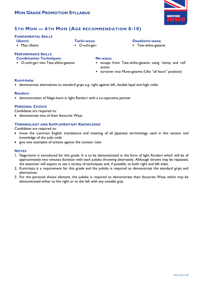

### **5TH MON — 6TH MON (AGE RECOMMENDATION 8-10)**

#### **FUNDAMENTAL SKILLS**

- **Ukemi:**
- Mae Ukemi

**PERFORMANCE SKILLS**

- **Combination Techniques:**
- O-uchi-gari into Tate-shiho-gatame
- O-uchi-gari

**Tachi-waza:**

#### **Osaekomi-waza:**

- Tate-shiho-gatame
- **Ne-waza:**
- escape from Tate-shiho-gatame using 'clamp and roll' action
- turnover into Mune-gatame (Uke "all fours" position)

#### **Kumi-kata:**

• demonstrate alternatives to standard grips e.g. right against left, double lapel and high collar

#### **Randori:**

• demonstration of Nage-komi in light Randori with a co-operative partner

#### **PERSONAL CHOICE**

Candidates are required to:

demonstrate two of their favourite Waza

#### **TERMINOLOGY AND SUPPLEMENTARY KNOWLEDGE**

Candidates are required to:

- know the common English translations and meaning of all Japanese terminology used in this section and knowledge of the judo code
- give two examples of actions against the contest rules

- 1. Nage-komi is introduced for this grade. It is to be demonstrated in the form of light Randori which will be of approximately two minutes duration with each judoka throwing alternately. Although throws may be repeated, the examiner will expect to see a variety of techniques and, if possible, to both right and left sides.
- 2. Kumi-kata is a requirement for this grade and the judoka is required to demonstrate the standard grips and alternatives.
- 3. For the personal choice element, the judoka is required to demonstrate their favourite Waza which may be demonstrated either to the right or to the left with any suitable grip.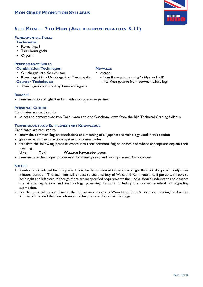### **6TH MON — 7TH MON (AGE RECOMMENDATION 8-11)**

#### **FUNDAMENTAL SKILLS**

#### **Tachi-waza:**

- Ko-uchi-gari
- Tsuri-komi-goshi
- O-goshi

#### **PERFORMANCE SKILLS**

#### **Combination Techniques:**

- O-uchi-gari into Ko-uchi-gari
- Ko-uchi-gari into O-soto-gari or O-soto-gake
- **Counter Techniques:**
- O-uchi-gari countered by Tsuri-komi-goshi

#### **Randori:**

• demonstration of light Randori with a co-operative partner

#### **PERSONAL CHOICE**

Candidates are required to:

• select and demonstrate two Tachi-waza and one Osaekomi-waza from the BJA Technical Grading Syllabus

#### **TERMINOLOGY AND SUPPLEMENTARY KNOWLEDGE**

Candidates are required to:

- know the common English translations and meaning of all Japanese terminology used in this section
- give two examples of actions against the contest rules
- translate the following Japanese words into their common English names and where appropriate explain their meaning:

#### **Uke Tori Waza-ari-awasete-ippon**

demonstrate the proper procedures for coming onto and leaving the mat for a contest

#### **NOTES**

- 1. Randori is introduced for this grade. It is to be demonstrated in the form of light Randori of approximately three minutes duration. The examiner will expect to see a variety of Waza and Kumi-kata and, if possible, throws to both right and left sides. Although there are no specified requirements the judoka should understand and observe the simple regulations and terminology governing Randori, including the correct method for signalling submission.
- 2. For the personal choice element, the judoka may select any Waza from the BJA Technical Grading Syllabus but it is recommended that less advanced techniques are chosen at the stage.

### **Ne-waza:**

- escape
	- from Kesa-gatame using 'bridge and roll'
	- into Kesa-gatame from between Uke's legs'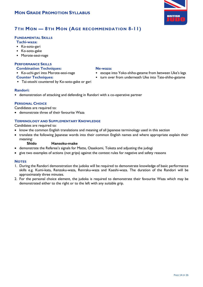

### **7TH MON — 8TH MON (AGE RECOMMENDATION 8-11)**

#### **FUNDAMENTAL SKILLS**

#### **Tachi-waza:**

- Ko-soto-gari
- Ko-soto-gake
- Morote-seoi-nage

#### **PERFORMANCE SKILLS**

#### **Combination Techniques:**

- Ko-uchi-gari into Morote-seoi-nage
- **Counter Techniques:**
- Tai-otoshi countered by Ko-soto-gake or gari

#### **Randori:**

• demonstration of attacking and defending in Randori with a co-operative partner

#### **PERSONAL CHOICE**

Candidates are required to:

demonstrate three of their favourite Waza

#### **TERMINOLOGY AND SUPPLEMENTARY KNOWLEDGE**

Candidates are required to:

- know the common English translations and meaning of all Japanese terminology used in this section
- translate the following Japanese words into their common English names and where appropriate explain their meaning:

#### **Shido Hansoku-make**

- demonstrate the Referee's signals for Matte, Osaekomi, Toketa and adjusting the judogi
- give two examples of actions (not grips) against the contest rules for negative and safety reasons

#### **NOTES**

- 1. During the Randori demonstration the judoka will be required to demonstrate knowledge of basic performance skills e.g. Kumi-kata, Renzoku-waza, Renraku-waza and Kaeshi-waza. The duration of the Randori will be approximately three minutes.
- 2. For the personal choice element, the judoka is required to demonstrate their favourite Waza which may be demonstrated either to the right or to the left with any suitable grip.

#### **Ne-waza:**

- escape into Yoko-shiho-gatame from between Uke's legs
- turn over from underneath Uke into Tate-shiho-gatame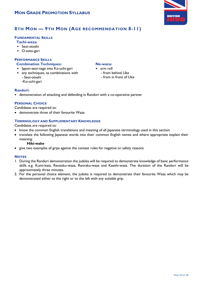

### **8TH MON — 9TH MON (AGE RECOMMENDATION 8-11)**

#### **FUNDAMENTAL SKILLS**

**Tachi-waza:**

- Seoi-otoshi
- O-soto-gari

#### **PERFORMANCE SKILLS Combination Techniques:**

- Ippon-seoi-nage into Ko-uchi-gari
- any techniques, as combinations with - Seoi-otoshi
	- -Ko-uchi-gari

#### **Ne-waza:**

- arm roll
	- from behind Uke
	- from in front of Uke

#### **Randori:**

• demonstration of attacking and defending in Randori with a co-operative partner

#### **PERSONAL CHOICE**

Candidates are required to:

demonstrate three of their favourite Waza

#### **TERMINOLOGY AND SUPPLEMENTARY KNOWLEDGE**

Candidates are required to:

- know the common English translations and meaning of all Japanese terminology used in this section
- translate the following Japanese words into their common English names and where appropriate explain their meaning:

#### **Hiki-wake**

give two examples of grips against the contest rules for negative or safety reasons

- 1. During the Randori demonstration the judoka will be required to demonstrate knowledge of basic performance skills e.g. Kumi-kata, Renzoku-waza, Renraku-waza and Kaeshi-waza. The duration of the Randori will be approximately three minutes.
- 2. For the personal choice element, the judoka is required to demonstrate their favourite Waza which may be demonstrated either to the right or to the left with any suitable grip.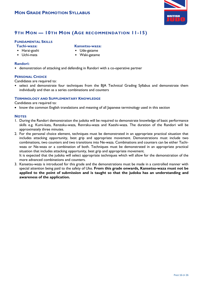

### **9TH MON — 10TH MON (AGE RECOMMENDATION 11-15)**

#### **FUNDAMENTAL SKILLS**

#### **Tachi-waza:**

- Harai-goshi
- Uchi-mata
- **Kansetsu-waza:**
- Ude-gatame
- Waki-gatame

#### **Randori:**

• demonstration of attacking and defending in Randori with a co-operative partner

#### **PERSONAL CHOICE**

Candidates are required to:

• select and demonstrate four techniques from the BJA Technical Grading Syllabus and demonstrate them individually and then as a series combinations and counters

#### **TERMINOLOGY AND SUPPLEMENTARY KNOWLEDGE**

Candidates are required to:

**awareness of the application.**

• know the common English translations and meaning of all Japanese terminology used in this section

#### **NOTES**

- 1. During the Randori demonstration the judoka will be required to demonstrate knowledge of basic performance skills e.g. Kumi-kata, Renzoku-waza, Renraku-waza and Kaeshi-waza. The duration of the Randori will be approximately three minutes.
- 2. For the personal choice element, techniques must be demonstrated in an appropriate practical situation that includes attacking opportunity, best grip and appropriate movement. Demonstrations must include two combinations, two counters and two transitions into Ne-waza. Combinations and counters can be either Tachiwaza or Ne-waza or a combination of both. Techniques must be demonstrated in an appropriate practical situation that includes attacking opportunity, best grip and appropriate movement. It is expected that the judoka will select appropriate techniques which will allow for the demonstration of the

more advanced combinations and counters. 3. Kansetsu-waza is introduced for this grade and the demonstrations must be made in a controlled manner with special attention being paid to the safety of Uke. **From this grade onwards, Kansetsu-waza must not be applied to the point of submission and is taught so that the judoka has an understanding and**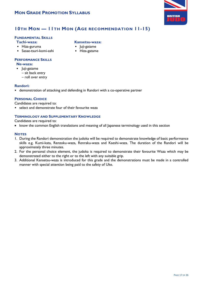

### **10TH MON — 11TH MON (AGE RECOMMENDATION 11-15)**

#### **FUNDAMENTAL SKILLS**

**Tachi-waza:**

- Hiza-guruma
- Sasae-tsuri-komi-ashi

### **PERFORMANCE SKILLS**

**Ne-waza:**

- Juji-gatame
	- sit back entry
	- roll over entry

#### **Randori:**

• demonstration of attacking and defending in Randori with a co-operative partner

#### **PERSONAL CHOICE**

Candidates are required to:

• select and demonstrate four of their favourite waza

#### **TERMINOLOGY AND SUPPLEMENTARY KNOWLEDGE**

Candidates are required to:

• know the common English translations and meaning of all Japanese terminology used in this section

#### **NOTES**

- 1. During the Randori demonstration the judoka will be required to demonstrate knowledge of basic performance skills e.g. Kumi-kata, Renzoku-waza, Renraku-waza and Kaeshi-waza. The duration of the Randori will be approximately three minutes.
- 2. For the personal choice element, the judoka is required to demonstrate their favourite Waza which may be demonstrated either to the right or to the left with any suitable grip.
- 3. Additional Kansetsu-waza is introduced for this grade and the demonstrations must be made in a controlled manner with special attention being paid to the safety of Uke.

#### **Kansetsu-waza:**

- Juji-gatame
- Hiza-gatame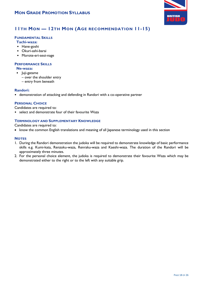

### **11TH MON — 12TH MON (AGE RECOMMENDATION 11-15)**

#### **FUNDAMENTAL SKILLS**

#### **Tachi-waza:**

- Hane-goshi
- Okuri-ashi-barai
- Morote-eri-seoi-nage

#### **PERFORMANCE SKILLS**

#### **Ne-waza:**

- Juji-gatame
	- over the shoulder entry
	- entry from beneath

#### **Randori:**

• demonstration of attacking and defending in Randori with a co-operative partner

#### **PERSONAL CHOICE**

Candidates are required to:

• select and demonstrate four of their favourite Waza

#### **TERMINOLOGY AND SUPPLEMENTARY KNOWLEDGE**

Candidates are required to:

• know the common English translations and meaning of all Japanese terminology used in this section

- 1. During the Randori demonstration the judoka will be required to demonstrate knowledge of basic performance skills e.g. Kumi-kata, Renzoku-waza, Renraku-waza and Kaeshi-waza. The duration of the Randori will be approximately three minutes.
- 2. For the personal choice element, the judoka is required to demonstrate their favourite Waza which may be demonstrated either to the right or to the left with any suitable grip.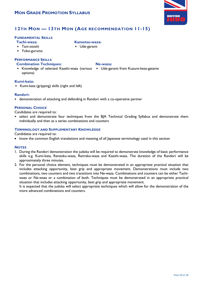

### **12TH MON — 13TH MON (AGE RECOMMENDATION 11-15)**

#### **FUNDAMENTAL SKILLS**

**Tachi-waza:**

**Kansetsu-waza:**

• Tani-otoshi

• Ude-garami

• Yoko-guruma

### **PERFORMANCE SKILLS**

**Combination Techniques:**

#### **Ne-waza:**

• Knowledge of selected Kaeshi-waza (various • Ude-garami from Kuzure-kesa-gatame options)

#### **Kumi-kata:**

• Kumi-kata (gripping) skills (right and left)

#### **Randori:**

• demonstration of attacking and defending in Randori with a co-operative partner

#### **PERSONAL CHOICE**

Candidates are required to:

• select and demonstrate four techniques from the BJA Technical Grading Syllabus and demonstrate them individually and then as a series combinations and counters

#### **TERMINOLOGY AND SUPPLEMENTARY KNOWLEDGE**

Candidates are required to:

• know the common English translations and meaning of all Japanese terminology used in this section

#### **NOTES**

- 1. During the Randori demonstration the judoka will be required to demonstrate knowledge of basic performance skills e.g. Kumi-kata, Renzoku-waza, Renraku-waza and Kaeshi-waza. The duration of the Randori will be approximately three minutes.
- 2. For the personal choice element, techniques must be demonstrated in an appropriate practical situation that includes attacking opportunity, best grip and appropriate movement. Demonstrations must include two combinations, two counters and two transitions into Ne-waza. Combinations and counters can be either Tachiwaza or Ne-waza or a combination of both. Techniques must be demonstrated in an appropriate practical situation that includes attacking opportunity, best grip and appropriate movement.

It is expected that the judoka will select appropriate techniques which will allow for the demonstration of the more advanced combinations and counters.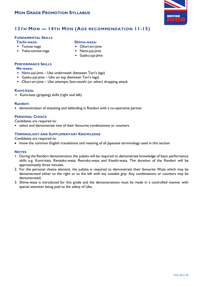

### **13TH MON — 14TH MON (AGE RECOMMENDATION 11-15)**

#### **FUNDAMENTAL SKILLS**

**Tachi-waza:**

- Tomoe-nage
- Yoko-tomoe-nage

#### **Shime-waza:**

- Okuri-eri-jime
- Nami-juji-jime
- Gyaku-juji-jime

#### **PERFORMANCE SKILLS**

#### **Ne-waza:**

- Nami-juji-jime Uke underneath (between Tori's legs)
- Gyaku-juji-jime Uke on top (between Tori's legs)
- Okuri-eri-jime Uke attempts Seoi-otoshi (or other) dropping attack

#### **Kumi-kata:**

• Kumi-kata (gripping) skills (right and left)

#### **Randori:**

• demonstration of attacking and defending in Randori with a co-operative partner

#### **PERSONAL CHOICE**

Candidates are required to:

• select and demonstrate two of their favourite combinations or counters

#### **TERMINOLOGY AND SUPPLEMENTARY KNOWLEDGE**

Candidates are required to:

• know the common English translations and meaning of all Japanese terminology used in this section

- 1. During the Randori demonstration the judoka will be required to demonstrate knowledge of basic performance skills e.g. Kumi-kata, Renzoku-waza, Renraku-waza and Kaeshi-waza. The duration of the Randori will be approximately three minutes.
- 2. For the personal choice element, the judoka is required to demonstrate their favourite Waza which may be demonstrated either to the right or to the left with any suitable grip. Any combinations or counters may be demonstrated.
- 3. Shime-waza is introduced for this grade and the demonstrations must be made in a controlled manner with special attention being paid to the safety of Uke.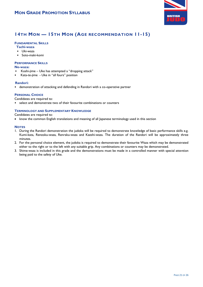

### **14TH MON — 15TH MON (AGE RECOMMENDATION 11-15)**

#### **FUNDAMENTAL SKILLS**

- **Tachi-waza**
- Uki-waza
- Soto-maki-komi

#### **PERFORMANCE SKILLS**

#### **Ne-waza:**

- Koshi-jime Uke has attempted a "dropping attack"
- Kata-te-jime Uke in "all fours" position

#### **Randori:**

• demonstration of attacking and defending in Randori with a co-operative partner

#### **PERSONAL CHOICE**

Candidates are required to:

• select and demonstrate two of their favourite combinations or counters

#### **TERMINOLOGY AND SUPPLEMENTARY KNOWLEDGE**

Candidates are required to:

• know the common English translations and meaning of all Japanese terminology used in this section

- 1. During the Randori demonstration the judoka will be required to demonstrate knowledge of basic performance skills e.g. Kumi-kata, Renzoku-waza, Renraku-waza and Kaeshi-waza. The duration of the Randori will be approximately three minutes.
- 2. For the personal choice element, the judoka is required to demonstrate their favourite Waza which may be demonstrated either to the right or to the left with any suitable grip. Any combinations or counters may be demonstrated.
- 3. Shime-waza is included in this grade and the demonstrations must be made in a controlled manner with special attention being paid to the safety of Uke.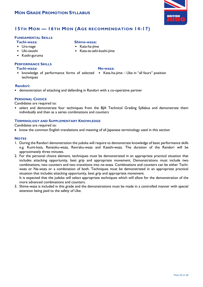

### **15TH MON — 16TH MON (AGE RECOMMENDATION 14-17)**

**Shime-waza:** • Kata-ha-jime

#### **FUNDAMENTAL SKILLS**

**Tachi-waza:**

- Ura-nage
- Uki-otoshi
- Koshi-guruma

#### **PERFORMANCE SKILLS**

#### **Tachi-waza:**

- **Ne-waza:**
- knowledge of performance forms of selected Kata-ha-jime Uke in "all fours" position techniques

• Kata-te-ashi-koshi-jime

#### **Randori:**

• demonstration of attacking and defending in Randori with a co-operative partner

#### **PERSONAL CHOICE**

Candidates are required to:

• select and demonstrate four techniques from the BJA Technical Grading Syllabus and demonstrate them individually and then as a series combinations and counters

#### **TERMINOLOGY AND SUPPLEMENTARY KNOWLEDGE**

Candidates are required to:

• know the common English translations and meaning of all lapanese terminology used in this section

#### **NOTES**

- 1. During the Randori demonstration the judoka will require to demonstrate knowledge of basic performance skills e.g. Kumi-kata, Renzoku-waza, Renraku-waza and Kaeshi-waza. The duration of the Randori will be approximately three minutes.
- 2. For the personal choice element, techniques must be demonstrated in an appropriate practical situation that includes attacking opportunity, best grip and appropriate movement. Demonstrations must include two combinations, two counters and two transitions into ne-waza. Combinations and counters can be either Tachiwaza or Ne-waza or a combination of both. Techniques must be demonstrated in an appropriate practical situation that includes attacking opportunity, best grip and appropriate movement.

It is expected that the judoka will select appropriate techniques which will allow for the demonstration of the more advanced combinations and counters.

3. Shime-waza is included in this grade and the demonstrations must be made in a controlled manner with special attention being paid to the safety of Uke.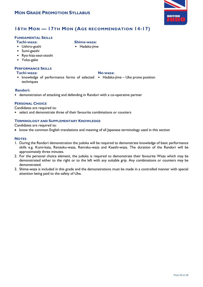

### **16TH MON — 17TH MON (AGE RECOMMENDATION 14-17)**

**Shime-waza:** • Hadaka-jime

#### **FUNDAMENTAL SKILLS**

**Tachi-waza:**

- Ushiro-goshi
- Sumi-gaeshi
- Ryo-hiza-seoi-otoshi
- Yoko-gake

#### **PERFORMANCE SKILLS**

#### **Tachi-waza:**

- **Ne-waza:**
- knowledge of performance forms of selected Hadaka-jime Uke prone position techniques

#### **Randori:**

• demonstration of attacking and defending in Randori with a co-operative partner

#### **PERSONAL CHOICE**

Candidates are required to:

• select and demonstrate three of their favourite combinations or counters

#### **TERMINOLOGY AND SUPPLEMENTARY KNOWLEDGE**

Candidates are required to:

• know the common English translations and meaning of all Japanese terminology used in this section

- 1. During the Randori demonstration the judoka will be required to demonstrate knowledge of basic performance skills e.g. Kumi-kata, Renzoku-waza, Renraku-waza and Kaeshi-waza. The duration of the Randori will be approximately three minutes.
- 2. For the personal choice element, the judoka is required to demonstrate their favourite Waza which may be demonstrated either to the right or to the left with any suitable grip. Any combinations or counters may be demonstrated.
- 3. Shime-waza is included in this grade and the demonstrations must be made in a controlled manner with special attention being paid to the safety of Uke.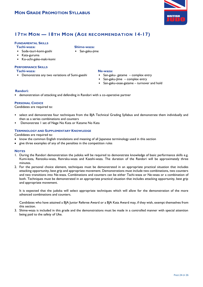

### **17TH MON — 18TH MON (AGE RECOMMENDATION 14-17)**

**Shime-waza:** • San-gaku-jime

#### **FUNDAMENTAL SKILLS**

**Tachi-waza:**

- Sode-tsuri-komi-goshi
- Kata-guruma
- Ko-uchi-gake-maki-komi

#### **PERFORMANCE SKILLS**

**Tachi-waza:**

• Demonstrate any two variations of Sumi-gaeshi

#### **Ne-waza:**

- San-gaku- gatame complex entry
- San-gaku-Jime complex entry
- San-gaku-osae-gatame turnover and hold

#### **Randori:**

• demonstration of attacking and defending in Randori with a co-operative partner

#### **PERSONAL CHOICE**

Candidates are required to:

- select and demonstrate four techniques from the BJA Technical Grading Syllabus and demonstrate them individually and then as a series combinations and counters
- Demonstrate 1 set of Nage No Kata or Katame No Kata

#### **TERMINOLOGY AND SUPPLEMENTARY KNOWLEDGE**

Candidates are required to:

- know the common English translations and meaning of all Japanese terminology used in this section
- give three examples of any of the penalties in the competition rules

#### **NOTES**

- 1. During the Randori demonstration the judoka will be required to demonstrate knowledge of basic performance skills e.g. Kumi-kata, Renzoku-waza, Renraku-waza and Kaeshi-waza. The duration of the Randori will be approximately three minutes.
- 2. For the personal choice element, techniques must be demonstrated in an appropriate practical situation that includes attacking opportunity, best grip and appropriate movement. Demonstrations must include two combinations, two counters and two transitions into Ne-waza. Combinations and counters can be either Tachi-waza or Ne-waza or a combination of both. Techniques must be demonstrated in an appropriate practical situation that includes attacking opportunity, best grip and appropriate movement.

It is expected that the judoka will select appropriate techniques which will allow for the demonstration of the more advanced combinations and counters.

Candidates who have attained a BJA Junior Referee Award or a BJA Kata Award may, if they wish, exempt themselves from this section.

3. Shime-waza is included in this grade and the demonstrations must be made in a controlled manner with special attention being paid to the safety of Uke.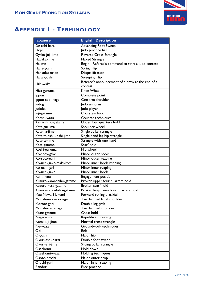

## **APPENDIX 1 - TERMINOLOGY**

| <b>Japanese</b>          | <b>English Description</b>                        |
|--------------------------|---------------------------------------------------|
| De-ashi-barai            | <b>Advancing Foot Sweep</b>                       |
| Dojo                     | Judo practice hall                                |
| Gyaku-juji-jime          | <b>Reverse Cross Strangle</b>                     |
| Hadaka-jime              | <b>Naked Strangle</b>                             |
| Hajime                   | Begin - Referee's command to start a judo contest |
| Hane-goshi               | <b>Spring Hip</b>                                 |
| Hansoku-make             | <b>Disqualification</b>                           |
| Harai-goshi              | Sweeping Hip                                      |
|                          | Referee's announcement of a draw at the end of a  |
| Hiki-wake                | contest                                           |
| Hiza-guruma              | <b>Knee Wheel</b>                                 |
| Ippon                    | Complete point                                    |
| Ippon-seoi-nage          | One arm shoulder                                  |
| Judogi                   | Judo uniform                                      |
| Judoka                   | Judo player                                       |
| Juji-gatame              | Cross armlock                                     |
| Kaeshi-waza              | Counter techniques                                |
| Kami-shiho-gatame        | Upper four quarters hold                          |
| Kata-guruma              | Shoulder wheel                                    |
| Kata-ha-jime             | Single collar strangle                            |
| Kata-te-ashi-koshi-jime  | Single hand leg hip strangle                      |
| Kata-te-jime             | Strangle with one hand                            |
| Kesa-gatame              | Scarf hold                                        |
| Koshi-guruma             | Hip wheel                                         |
| Ko-soto-gake             | Minor outer hook                                  |
| Ko-soto-gari             | Minor outer reaping                               |
| Ko-uchi-gake-maki-komi   | Minor inner hook winding                          |
| Ko-uchi-gari             | Minor inner reaping                               |
| Ko-uchi-gake             | Minor inner hook                                  |
| Kumi-kata                | Engagement position                               |
| Kuzure-kami-shiho-gatame | Broken upper four quarters hold                   |
| Kuzure-kesa-gatame       | Broken scarf hold                                 |
| Kuzure-tate-shiho-gatame | Broken lengthwise four quarters hold              |
| Mae Mawari Ukemi         | Forward rolling breakfall                         |
| Morote-eri-seoi-nage     | Two handed lapel shoulder                         |
| Morote-gari              | Double leg grab                                   |
| Morote-seoi-nage         | Two handed shoulder                               |
| Mune-gatame              | Chest hold                                        |
| Nage-komi                | Repetitive throwing                               |
| Nami-juji-jime           | Normal cross strangle                             |
| Ne-waza                  | Groundwork techniques                             |
| Obi                      | <b>Belt</b>                                       |
| O-goshi                  | Major hip                                         |
| Okuri-ashi-barai         | Double foot sweep                                 |
| Okuri-eri-jime           | Sliding collar strangle                           |
| Osaekomi                 | Hold down                                         |
| Osaekomi-waza            | Holding techniques                                |
| Osoto-otoshi             | Major outer drop                                  |
| O-uchi-gari              | Major inner reaping                               |
| Randori                  | Free practice                                     |